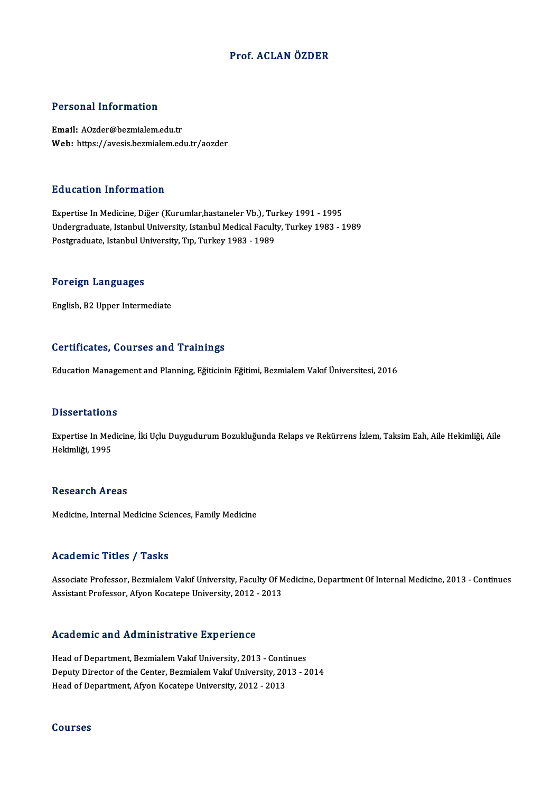### Prof. ACLAN ÖZDER

### Personal Information

Email: AOzder@bezmialem.edu.tr Web: https://avesis.bezmialem.edu.tr/aozder

### Education Information

Expertise In Medicine, Diğer (Kurumlar,hastaneler Vb.), Turkey 1991 - 1995 Undergraduate, Istanbul University, Istanbul Medical Faculty, Turkey 1983 - 1989 Postgraduate, Istanbul University, Tıp, Turkey 1983 - 1989

### Foreign Languages

English,B2Upper Intermediate

### Certificates, Courses and Trainings

Education Management and Planning, Eğiticinin Eğitimi, Bezmialem Vakıf Üniversitesi, 2016

### **Dissertations**

Dissertations<br>Expertise In Medicine, İki Uçlu Duygudurum Bozukluğunda Relaps ve Rekürrens İzlem, Taksim Eah, Aile Hekimliği, Aile<br>Hekimliği, 1995 Basser tatrom<br>Expertise In Mec<br>Hekimliği, 1995 Hekimliği, 1995<br>Research Areas

Medicine, Internal Medicine Sciences, Family Medicine

### Academic Titles / Tasks

Academic Titles / Tasks<br>Associate Professor, Bezmialem Vakıf University, Faculty Of Medicine, Department Of Internal Medicine, 2013 - Continues<br>Assistant Professor, Afron Kosatone University, 2012, 2013 Associate Professor, Bezmialem Vakıf University, Faculty Of M<br>Assistant Professor, Afyon Kocatepe University, 2012 - 2013 Assistant Professor, Afyon Kocatepe University, 2012 - 2013<br>Academic and Administrative Experience

Head of Department, Bezmialem Vakıf University, 2013 - Continues Mead of Department, Bezmialem Vakıf University, 2013 - Continues<br>Deputy Director of the Center, Bezmialem Vakıf University, 2013 - 2014<br>Head of Department, Afron Kesstane University, 2012 - 2013 - 2014 Head of Department, Bezmialem Vakıf University, 2013 - Conti<br>Deputy Director of the Center, Bezmialem Vakıf University, 20<br>Head of Department, Afyon Kocatepe University, 2012 - 2013 Head of Department, Afyon Kocatepe University, 2012 - 2013<br>Courses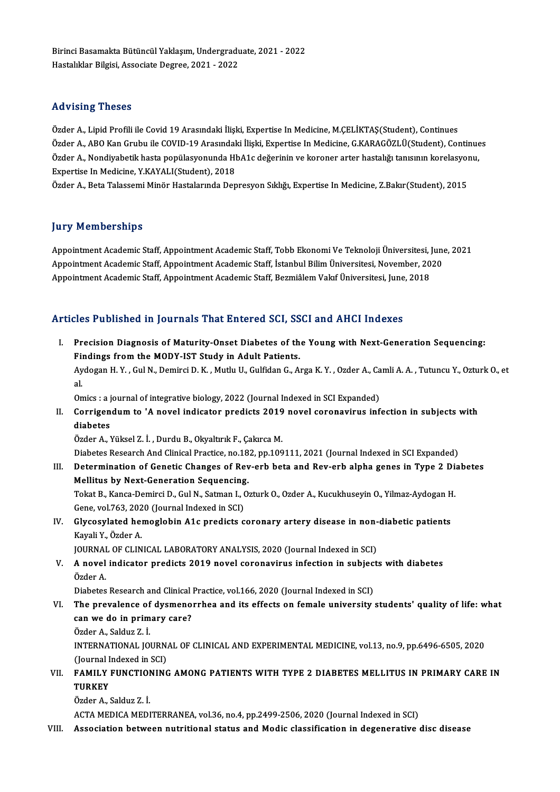Özder A., Lipid Profili ile Covid 19 Arasındaki İlişki, Expertise In Medicine, M.ÇELİKTAŞ(Student), Continues raa vasıng "rissess"<br>Özder A., Lipid Profili ile Covid 19 Arasındaki İlişki, Expertise In Medicine, M.ÇELİKTAŞ(Student), Continues<br>Özder A., ABO Kan Grubu ile COVID-19 Arasındaki İlişki, Expertise In Medicine, G.KARAGÖZLÜ( Özder A., Lipid Profili ile Covid 19 Arasındaki İlişki, Expertise In Medicine, M.ÇELİKTAŞ(Student), Continues<br>Özder A., ABO Kan Grubu ile COVID-19 Arasındaki İlişki, Expertise In Medicine, G.KARAGÖZLÜ(Student), Continue<br>Öz Özder A., ABO Kan Grubu ile COVID-19 Arasındal<br>Özder A., Nondiyabetik hasta popülasyonunda Hl<br>Expertise In Medicine, Y.KAYALI(Student), 2018<br>Özder A., Beta Talassami Minör Hastalarında Den Özder A., Nondiyabetik hasta popülasyonunda HbA1c değerinin ve koroner arter hastalığı tanısının korelasyonu,<br>Expertise In Medicine, Y.KAYALI(Student), 2018<br>Özder A., Beta Talassemi Minör Hastalarında Depresyon Sıklığı, Ex

### **Jury Memberships**

**Jury Memberships**<br>Appointment Academic Staff, Appointment Academic Staff, Tobb Ekonomi Ve Teknoloji Üniversitesi, June, 2021<br>Appointment Academic Staff, Appointment Academic Staff, Istanbul Bilim Üniversitesi, Nevember, 2 Jury Trembersmps<br>Appointment Academic Staff, Appointment Academic Staff, Tobb Ekonomi Ve Teknoloji Üniversitesi, June<br>Appointment Academic Staff, Appointment Academic Staff, İstanbul Bilim Üniversitesi, November, 2020<br>Appo Appointment Academic Staff, Appointment Academic Staff, Tobb Ekonomi Ve Teknoloji Üniversitesi, J<br>Appointment Academic Staff, Appointment Academic Staff, İstanbul Bilim Üniversitesi, November, 20<br>Appointment Academic Staff

# Appointment Academic Staff, Appointment Academic Staff, Bezmiâlem Vakıf Üniversitesi, June, 2018<br>Articles Published in Journals That Entered SCI, SSCI and AHCI Indexes

I. Precision Diagnosis of Maturity-Onset Diabetes of the Young with Next-Generation Sequencing: Findings from the MODY-IST Study in Adult Patients. Precision Diagnosis of Maturity-Onset Diabetes of the Young with Next-Generation Sequencing:<br>Findings from the MODY-IST Study in Adult Patients.<br>Aydogan H.Y. , Gul N., Demirci D. K. , Mutlu U., Gulfidan G., Arga K.Y. , Ozd

Fil<br>Ay<br>al Aydogan H. Y. , Gul N., Demirci D. K. , Mutlu U., Gulfidan G., Arga K. Y. , Ozder A., Ca<br>al.<br>Omics : a journal of integrative biology, 2022 (Journal Indexed in SCI Expanded)<br>Conrigondum to 'A noval indigator prodicts 2019

Omics : a journal of integrative biology, 2022 (Journal Indexed in SCI Expanded)

al.<br>Omics : a journal of integrative biology, 2022 (Journal Indexed in SCI Expanded)<br>II. Corrigendum to 'A novel indicator predicts 2019 novel coronavirus infection in subjects with<br>diabetes

Özder A., Yüksel Z. İ., Durdu B., Okyaltırık F., Çakırca M.

Diabetes Research And Clinical Practice, no.182, pp.109111, 2021 (Journal Indexed in SCI Expanded)

Özder A., Yüksel Z. İ. , Durdu B., Okyaltırık F., Çakırca M.<br>Diabetes Research And Clinical Practice, no.182, pp.109111, 2021 (Journal Indexed in SCI Expanded)<br>III. Determination of Genetic Changes of Rev-erb beta and Rev-Diabetes Research And Clinical Practice, no.18<br>Determination of Genetic Changes of Rev<br>Mellitus by Next-Generation Sequencing.<br>Tekst B. Kanga Demirgi D. Gul N. Satman L. O Determination of Genetic Changes of Rev-erb beta and Rev-erb alpha genes in Type 2 Die<br>Mellitus by Next-Generation Sequencing.<br>Tokat B., Kanca-Demirci D., Gul N., Satman I., Ozturk O., Ozder A., Kucukhuseyin O., Yilmaz-Ayd

Mellitus by Next-Generation Sequencing<br>Tokat B., Kanca-Demirci D., Gul N., Satman I., (<br>Gene, vol.763, 2020 (Journal Indexed in SCI)<br>Clysesylated hemoglebin A1s prodists s Tokat B., Kanca-Demirci D., Gul N., Satman I., Ozturk O., Ozder A., Kucukhuseyin O., Yilmaz-Aydogan H.<br>Gene, vol.763, 2020 (Journal Indexed in SCI)<br>IV. Glycosylated hemoglobin A1c predicts coronary artery disease in non-di

Gene, vol.763, 202<br>Glycosylated her<br>Kayali Y., Özder A.<br>JOUPNAL OF CLIN Glycosylated hemoglobin A1c predicts coronary artery disease in non-<br>Kayali Y., Özder A.<br>JOURNAL OF CLINICAL LABORATORY ANALYSIS, 2020 (Journal Indexed in SCI)<br>A novel indicater predicts 2019 novel seronarinus infection in

V. A novel indicator predicts 2019 novel coronavirus infection in subjects with diabetes JOURNAI<br>**A novel**<br>Özder A. A novel indicator predicts 2019 novel coronavirus infection in subjec<br>Özder A.<br>Diabetes Research and Clinical Practice, vol.166, 2020 (Journal Indexed in SCI)<br>The prevelence of dysmonarrhee and its effects on female univer

- Özder A.<br>Diabetes Research and Clinical Practice, vol.166, 2020 (Journal Indexed in SCI)<br>VI. The prevalence of dysmenorrhea and its effects on female university students' quality of life: what<br>sen we do in primery sere? Diabetes Research and Clinical<br>The prevalence of dysmeno<br>can we do in primary care?<br>Örder A. Seldur 7.1 The prevalence of<br>can we do in prim<br>Özder A., Salduz Z. İ.<br>INTERNATIONAL JO
	-

can we do in primary care?<br>Özder A., Salduz Z. İ.<br>INTERNATIONAL JOURNAL OF CLINICAL AND EXPERIMENTAL MEDICINE, vol.13, no.9, pp.6496-6505, 2020<br>(Jaunnal Indoved in SCI) Özder A., Salduz Z. İ.<br>INTERNATIONAL JOURN.<br>(Journal Indexed in SCI)<br>EAMILY EUNGTIONING INTERNATIONAL JOURNAL OF CLINICAL AND EXPERIMENTAL MEDICINE, vol.13, no.9, pp.6496-6505, 2020<br>(Journal Indexed in SCI)<br>VII. FAMILY FUNCTIONING AMONG PATIENTS WITH TYPE 2 DIABETES MELLITUS IN PRIMARY CARE IN

## (Journal I)<br>FAMILY<br>TURKEY<br>Özden A FAMILY FUNCTION<br>TURKEY<br>Özder A., Salduz Z. İ.<br>ACTA MEDICA MEDI TURKEY<br>Özder A., Salduz Z. İ.<br>ACTA MEDICA MEDITERRANEA, vol.36, no.4, pp.2499-2506, 2020 (Journal Indexed in SCI)

VIII. Association between nutritional status and Modic classification in degenerative disc disease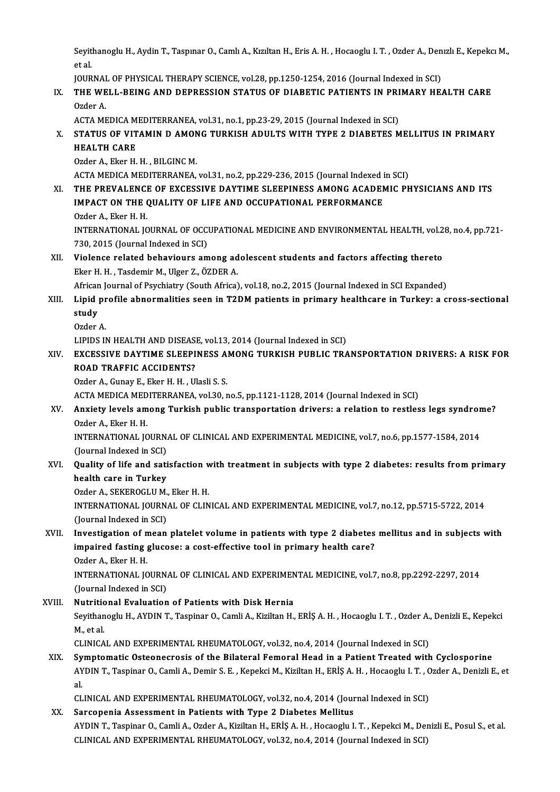Seyithanoglu H., Aydin T., Taspınar O., Camlı A., Kızıltan H., Eris A. H. , Hocaoglu I. T. , Ozder A., Denızlı E., Kepekcı M.,<br>et el Seyit<br>et al.<br>IOUP Seyithanoglu H., Aydin T., Taspınar O., Camlı A., Kızıltan H., Eris A. H. , Hocaoglu I. T. , Ozder A., Den<br>et al.<br>JOURNAL OF PHYSICAL THERAPY SCIENCE, vol.28, pp.1250-1254, 2016 (Journal Indexed in SCI)<br>THE WELL BEING AND

## et al.<br>JOURNAL OF PHYSICAL THERAPY SCIENCE, vol.28, pp.1250-1254, 2016 (Journal Indexed in SCI)<br>IX. THE WELL-BEING AND DEPRESSION STATUS OF DIABETIC PATIENTS IN PRIMARY HEALTH CARE<br>Order A JOURNAL OF PHYSICAL THERAPY SCIENCE, vol.28, pp.1250-1254, 2016 (Journal Indexed in SCI)<br>THE WELL-BEING AND DEPRESSION STATUS OF DIABETIC PATIENTS IN PRIMARY HE.<br>Ozder A.<br>ACTA MEDICA MEDITERRANEA, vol.31, no.1, pp.23-29, 2 THE WELL-BEING AND DEPRESSION STATUS OF DIABETIC PATIENTS IN PRI<br>Ozder A.<br>ACTA MEDICA MEDITERRANEA, vol.31, no.1, pp.23-29, 2015 (Journal Indexed in SCI)<br>STATUS OF VITAMIN D AMONC TURKISH ADIU TS WITH TYPE 2 DIABETES M

## Ozder A.<br>ACTA MEDICA MEDITERRANEA, vol.31, no.1, pp.23-29, 2015 (Journal Indexed in SCI)<br>X. STATUS OF VITAMIN D AMONG TURKISH ADULTS WITH TYPE 2 DIABETES MELLITUS IN PRIMARY<br>HEALTH CARE ACTA MEDICA M<br><mark>STATUS OF VIT</mark><br>HEALTH CARE<br>Order A. Eker H STATUS OF VITAMIN D AMON<br>HEALTH CARE<br>Ozder A., Eker H. H. , BILGINC M.<br>ACTA MEDICA MEDITERRANEA H<mark>EALTH CARE</mark><br>Ozder A., Eker H. H. , BILGINC M.<br>ACTA MEDICA MEDITERRANEA, vol.31, no.2, pp.229-236, 2015 (Journal Indexed in SCI)<br>THE PREVALENCE OF EXCESSIVE DAVTIME SLEEPINESS AMONC ACADEMIC PL

### Ozder A., Eker H. H. , BILGINC M.<br>ACTA MEDICA MEDITERRANEA, vol.31, no.2, pp.229-236, 2015 (Journal Indexed in SCI)<br>XI. THE PREVALENCE OF EXCESSIVE DAYTIME SLEEPINESS AMONG ACADEMIC PHYSICIANS AND ITS<br>IMBACT ON THE QUALITY ACTA MEDICA MEDITERRANEA, vol.31, no.2, pp.229-236, 2015 (Journal Indexed in the PREVALENCE OF EXCESSIVE DAYTIME SLEEPINESS AMONG ACADEN<br>IMPACT ON THE QUALITY OF LIFE AND OCCUPATIONAL PERFORMANCE<br>Order A. Eker H. H. THE PREVALENCI<br>IMPACT ON THE (<br>Ozder A., Eker H. H.<br>INTERNATIONAL IC IMPACT ON THE QUALITY OF LIFE AND OCCUPATIONAL PERFORMANCE<br>Ozder A., Eker H. H.<br>INTERNATIONAL JOURNAL OF OCCUPATIONAL MEDICINE AND ENVIRONMENTAL HEALTH, vol.28, no.4, pp.721-<br>720–2015 (Journal Indoved in SCD Ozder A., Eker H. H.<br>INTERNATIONAL JOURNAL OF OCCI<br>730, 2015 (Journal Indexed in SCI)<br>Wielense related behevieurs am

## INTERNATIONAL JOURNAL OF OCCUPATIONAL MEDICINE AND ENVIRONMENTAL HEALTH, vol.2<br>730, 2015 (Journal Indexed in SCI)<br>XII. Violence related behaviours among adolescent students and factors affecting thereto<br>Flion H. H. Teedemi 730, 2015 (Journal Indexed in SCI)<br>XII. Violence related behaviours among adolescent students and factors affecting thereto<br>Eker H. H. , Tasdemir M., Ulger Z., ÖZDER A.

African Journal of Psychiatry (South Africa), vol.18, no.2, 2015 (Journal Indexed in SCI Expanded)

### Eker H. H. , Tasdemir M., Ulger Z., ÖZDER A.<br>African Journal of Psychiatry (South Africa), vol.18, no.2, 2015 (Journal Indexed in SCI Expanded)<br>XIII. Lipid profile abnormalities seen in T2DM patients in primary healthc African<br>Lipid<br>study<br>Order Li<mark>pid pr</mark><br>study<br>Ozder A.<br>Lipins P study<br>Ozder A.<br>LIPIDS IN HEALTH AND DISEASE, vol.13, 2014 (Journal Indexed in SCI)

### Ozder A.<br>LIPIDS IN HEALTH AND DISEASE, vol.13, 2014 (Journal Indexed in SCI)<br>XIV. EXCESSIVE DAYTIME SLEEPINESS AMONG TURKISH PUBLIC TRANSPORTATION DRIVERS: A RISK FOR<br>ROAD TRAEEIC ACCIDENTS? LIPIDS IN HEALTH AND DISEAS<br>EXCESSIVE DAYTIME SLEEPI<br>ROAD TRAFFIC ACCIDENTS?<br>Order A. Gunav E. Eker H. H. J.II EXCESSIVE DAYTIME SLEEPINESS A.<br>ROAD TRAFFIC ACCIDENTS?<br>Ozder A., Gunay E., Eker H. H. , Ulasli S. S.<br>ACTA MEDICA MEDITERRANEA, vol 30, r ROAD TRAFFIC ACCIDENTS?<br>Ozder A., Gunay E., Eker H. H. , Ulasli S. S.<br>ACTA MEDICA MEDITERRANEA, vol.30, no.5, pp.1121-1128, 2014 (Journal Indexed in SCI)

## Ozder A., Gunay E., Eker H. H. , Ulasli S. S.<br>ACTA MEDICA MEDITERRANEA, vol.30, no.5, pp.1121-1128, 2014 (Journal Indexed in SCI)<br>XV. Anxiety levels among Turkish public transportation drivers: a relation to restless l ACTA MEDICA MED<br><mark>Anxiety levels am</mark><br>Ozder A., Eker H. H.<br>INTERNATIONAL IC Anxiety levels among Turkish public transportation drivers: a relation to restless legs syndrom<br>Ozder A., Eker H. H.<br>INTERNATIONAL JOURNAL OF CLINICAL AND EXPERIMENTAL MEDICINE, vol.7, no.6, pp.1577-1584, 2014<br>(Journal Ind

Ozder A., Eker H. H.<br>INTERNATIONAL JOURN.<br>(Journal Indexed in SCI)<br>Quality of life and sati INTERNATIONAL JOURNAL OF CLINICAL AND EXPERIMENTAL MEDICINE, vol.7, no.6, pp.1577-1584, 2014<br>(Journal Indexed in SCI)<br>XVI. Quality of life and satisfaction with treatment in subjects with type 2 diabetes: results from prim

## (Journal Indexed in SCI)<br>Quality of life and sati<br>health care in Turkey<br>Order A SEKEROCLUM Quality of life and satisfaction w<br>health care in Turkey<br>Ozder A., SEKEROGLU M., Eker H. H.<br>INTERNATIONAL JOURNAL OF CLIN

Ozder A., SEKEROGLU M., Eker H. H.

health care in Turkey<br>Ozder A., SEKEROGLU M., Eker H. H.<br>INTERNATIONAL JOURNAL OF CLINICAL AND EXPERIMENTAL MEDICINE, vol.7, no.12, pp.5715-5722, 2014<br>(Journal Indexed in SCI) INTERNATIONAL JOURNAL OF CLINICAL AND EXPERIMENTAL MEDICINE, vol.7, no.12, pp.5715-5722, 2014<br>(Journal Indexed in SCI)<br>XVII. Investigation of mean platelet volume in patients with type 2 diabetes mellitus and in subjects w

## (Journal Indexed in SCI)<br>Investigation of mean platelet volume in patients with type 2 diabetes<br>impaired fasting glucose: a cost-effective tool in primary health care?<br>Order A. Fler H. H. **Investigation of n<br>impaired fasting :<br>Ozder A., Eker H. H.<br>INTERNATIONAL IC** impaired fasting glucose: a cost-effective tool in primary health care?<br>Ozder A., Eker H. H.<br>INTERNATIONAL JOURNAL OF CLINICAL AND EXPERIMENTAL MEDICINE, vol.7, no.8, pp.2292-2297, 2014<br>(Journal Indoved in SCD

Ozder A., Eker H. H.<br>INTERNATIONAL JOURN.<br>(Journal Indexed in SCI)<br>Nutritional Evaluation INTERNATIONAL JOURNAL OF CLINICAL AND EXPERIMEN<br>(Journal Indexed in SCI)<br>XVIII. Nutritional Evaluation of Patients with Disk Hernia<br>Sovithangely H. AVDINT, Tecnings O. Camli A. Virilton H

(Journal Indexed in SCI)<br><mark>Nutritional Evaluation of Patients with Disk Hernia</mark><br>Seyithanoglu H., AYDIN T., Taspinar O., Camli A., Kiziltan H., ERİŞ A. H. , Hocaoglu I. T. , Ozder A., Denizli E., Kepekci<br>M. et al **Nutritic<br>Seyithan<br>M., et al.<br>CUNICA** Seyithanoglu H., AYDIN T., Taspinar O., Camli A., Kiziltan H., ERİŞ A. H. , Hocaoglu I. T. , Ozder A.,<br>M., et al.<br>CLINICAL AND EXPERIMENTAL RHEUMATOLOGY, vol.32, no.4, 2014 (Journal Indexed in SCI)<br>Symptomatic Osteonograpi

## M., et al.<br>CLINICAL AND EXPERIMENTAL RHEUMATOLOGY, vol.32, no.4, 2014 (Journal Indexed in SCI)<br>XIX. Symptomatic Osteonecrosis of the Bilateral Femoral Head in a Patient Treated with Cyclosporine CLINICAL AND EXPERIMENTAL RHEUMATOLOGY, vol.32, no.4, 2014 (Journal Indexed in SCI)<br>S**ymptomatic Osteonecrosis of the Bilateral Femoral Head in a Patient Treated with Cyclosporine<br>AYDIN T., Taspinar O., Camli A., Demir S.** Sy<br>AY<br>al AYDIN T., Taspinar O., Camli A., Demir S. E. , Kepekci M., Kiziltan H., ERİŞ A. H. , Hocaoglu I. T. , C<br>al.<br>CLINICAL AND EXPERIMENTAL RHEUMATOLOGY, vol.32, no.4, 2014 (Journal Indexed in SCI)<br>Sanaanania Assessment in Patie

al.<br>CLINICAL AND EXPERIMENTAL RHEUMATOLOGY, vol.32, no.4, 2014 (Journal Indexed in SCI)<br>XX. Sarcopenia Assessment in Patients with Type 2 Diabetes Mellitus

CLINICAL AND EXPERIMENTAL RHEUMATOLOGY, vol.32, no.4, 2014 (Journal Indexed in SCI)<br>Sarcopenia Assessment in Patients with Type 2 Diabetes Mellitus<br>AYDIN T., Taspinar O., Camli A., Ozder A., Kiziltan H., ERİŞ A. H. , Hocao Sarcopenia Assessment in Patients with Type 2 Diabetes Mellitus<br>AYDIN T., Taspinar O., Camli A., Ozder A., Kiziltan H., ERİŞ A. H. , Hocaoglu I. T. , Kepekci M., Der<br>CLINICAL AND EXPERIMENTAL RHEUMATOLOGY, vol.32, no.4, 20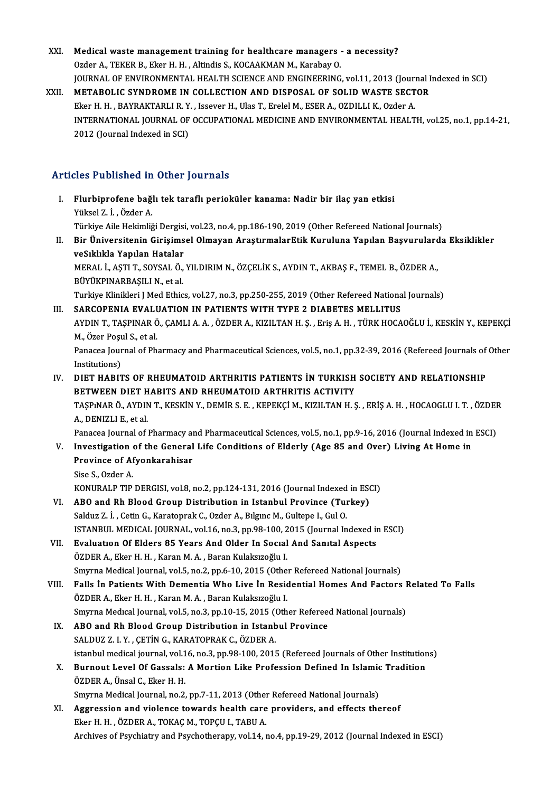XXI. Medical waste management training for healthcare managers - a necessity? Ozder A., TEKER B., Eker H. H., Altindis S., KOCAAKMAN M., Karabay O. Medical waste management training for healthcare managers - a necessity?<br>Ozder A., TEKER B., Eker H. H. , Altindis S., KOCAAKMAN M., Karabay O.<br>JOURNAL OF ENVIRONMENTAL HEALTH SCIENCE AND ENGINEERING, vol.11, 2013 (Journal XXII. METABOLIC SYNDROME IN COLLECTION AND DISPOSAL OF SOLID WASTE SECTOR JOURNAL OF ENVIRONMENTAL HEALTH SCIENCE AND ENGINEERING, vol.11, 2013 (Journal)<br>METABOLIC SYNDROME IN COLLECTION AND DISPOSAL OF SOLID WASTE SECT<br>Eker H. H. , BAYRAKTARLI R. Y. , Issever H., Ulas T., Erelel M., ESER A., OZ INTERNATIONAL JOURNAL OF OCCUPATIONAL MEDICINE AND ENVIRONMENTAL HEALTH, vol.25, no.1, pp.14-21,<br>2012 (Journal Indexed in SCI) Eker H. H., BAYRAKTARLI R. Y., Issever H., Ulas T., Erelel M., ESER A., OZDILLI K., Ozder A.

### Articles Published in Other Journals

- rticles Published in Other Journals<br>I. Flurbiprofene bağlı tek taraflı perioküler kanama: Nadir bir ilaç yan etkisi<br>. Yüksel 7. İ. Özder A *Yüksel Tabilisted III*<br>Flurbiprofene bağ<br>Yüksel Z. İ. , Özder A.<br>Türkiye Aile Hekimliğ Flurbiprofene bağlı tek taraflı perioküler kanama: Nadir bir ilaç yan etkisi<br>Yüksel Z. İ. , Özder A.<br>Türkiye Aile Hekimliği Dergisi, vol.23, no.4, pp.186-190, 2019 (Other Refereed National Journals)<br>Pir Üniversitenin Giris Yüksel Z. İ. , Özder A.<br>Türkiye Aile Hekimliği Dergisi, vol.23, no.4, pp.186-190, 2019 (Other Refereed National Journals)<br>II. Bir Üniversitenin Girişimsel Olmayan AraştırmalarEtik Kuruluna Yapılan Başvurularda Eksiklik Türkiye Aile Hekimliği Dergisi<br>Bir Üniversitenin Girişims<br>veSıklıkla Yapılan Hatalar<br>MERAL İ. ASTI T. SOVSALÖ Bir Üniversitenin Girişimsel Olmayan AraştırmalarEtik Kuruluna Yapılan Başvurulard<br>veSıklıkla Yapılan Hatalar<br>MERAL İ., AŞTI T., SOYSAL Ö., YILDIRIM N., ÖZÇELİK S., AYDIN T., AKBAŞ F., TEMEL B., ÖZDER A.,<br>PÜVÜKPINAPRASILLN veSıklıkla Yapılan Hatalar<br>MERAL İ., AŞTI T., SOYSAL Ö.,<br>BÜYÜKPINARBAŞILI N., et al.<br>Turkiye Klinikleri I Med Ethia MERAL İ., AŞTI T., SOYSAL Ö., YILDIRIM N., ÖZÇELİK S., AYDIN T., AKBAŞ F., TEMEL B., ÖZDER A.,<br>BÜYÜKPINARBAŞILI N., et al.<br>Turkiye Klinikleri J Med Ethics, vol.27, no.3, pp.250-255, 2019 (Other Refereed National Journals)<br> BÜYÜKPINARBAŞILI N., et al.<br>Turkiye Klinikleri J Med Ethics, vol.27, no.3, pp.250-255, 2019 (Other Refereed National Journals)<br>III. SARCOPENIA EVALUATION IN PATIENTS WITH TYPE 2 DIABETES MELLITUS Turkiye Klinikleri J Med Ethics, vol.27, no.3, pp.250-255, 2019 (Other Refereed National Journals)<br>SARCOPENIA EVALUATION IN PATIENTS WITH TYPE 2 DIABETES MELLITUS<br>AYDIN T., TAŞPINAR Ö., ÇAMLI A. A. , ÖZDER A., KIZILTAN H. SARCOPENIA EVAL<mark>I</mark><br>AYDIN T., TAŞPINAR Ö<br>M., Özer Poşul S., et al.<br>Panassa Journal of Ph AYDIN T., TAŞPINAR Ö., ÇAMLI A. A. , ÖZDER A., KIZILTAN H. Ş. , Eriş A. H. , TÜRK HOCAOĞLU İ., KESKİN Y., KEPEKÇİ<br>M., Özer Poşul S., et al.<br>Panacea Journal of Pharmacy and Pharmaceutical Sciences, vol.5, no.1, pp.32-39, 20 M., Özer Poşu<br>Panacea Jour<br>Institutions)<br>DIET HAPIT Panacea Journal of Pharmacy and Pharmaceutical Sciences, vol.5, no.1, pp.32-39, 2016 (Refereed Journals of<br>IN. DIET HABITS OF RHEUMATOID ARTHRITIS PATIENTS IN TURKISH SOCIETY AND RELATIONSHIP<br>PETWEEN DIET HABITS AND PHEUMA Institutions)<br>IV. DIET HABITS OF RHEUMATOID ARTHRITIS PATIENTS IN TURKISH SOCIETY AND RELATIONSHIP<br>BETWEEN DIET HABITS AND RHEUMATOID ARTHRITIS ACTIVITY
- DIET HABITS OF RHEUMATOID ARTHRITIS PATIENTS İN TURKISH SOCIETY AND RELATIONSHIP<br>BETWEEN DIET HABITS AND RHEUMATOID ARTHRITIS ACTIVITY<br>TAŞPıNAR Ö., AYDIN T., KESKİN Y., DEMİR S. E. , KEPEKÇİ M., KIZILTAN H. Ş. , ERİŞ A. H. **BETWEEN DIET H<br>TAŞPINAR Ö., AYDIN<br>A., DENIZLI E., et al.**<br>Panassa Journal of i TAŞPıNAR Ö., AYDIN T., KESKİN Y., DEMİR S. E. , KEPEKÇİ M., KIZILTAN H. Ş. , ERİŞ A. H. , HOCAOGLU I. T. , ÖZDEF<br>A., DENIZLI E., et al.<br>Panacea Journal of Pharmacy and Pharmaceutical Sciences, vol.5, no.1, pp.9-16, 2016 (J A., DENIZLI E., et al.<br>Panacea Journal of Pharmacy and Pharmaceutical Sciences, vol.5, no.1, pp.9-16, 2016 (Journal Indexed in<br>V. Investigation of the General Life Conditions of Elderly (Age 85 and Over) Living At Home in<br>

- Panacea Journal of Pharmacy an<br>Investigation of the General<br>Province of Afyonkarahisar<br>Sise S. Order A I<mark>nvestigation</mark><br>Province of Af<br>Sise S., Ozder A.<br>KONUPALP TIP Province of Afyonkarahisar<br>Sise S., Ozder A.<br>KONURALP TIP DERGISI, vol.8, no.2, pp.124-131, 2016 (Journal Indexed in ESCI)
	-

- VI. ABO and Rh Blood Group Distribution in Istanbul Province (Turkey) Salduz Z. İ., Cetin G., Karatoprak C., Ozder A., Bılgınc M., Gultepe I., Gul O. ABO and Rh Blood Group Distribution in Istanbul Province (Turkey)<br>Salduz Z. İ. , Cetin G., Karatoprak C., Ozder A., Bılgınc M., Gultepe I., Gul O.<br>ISTANBUL MEDICAL JOURNAL, vol.16, no.3, pp.98-100, 2015 (Journal Indexed in Salduz Z. İ. , Cetin G., Karatoprak C., Ozder A., Bılgınc M., Gultepe I., Gul O.<br>ISTANBUL MEDICAL JOURNAL, vol.16, no.3, pp.98-100, 2015 (Journal Indexed in<br>VII. Evaluation Of Elders 85 Years And Older In Social And Sanıta
- ISTANBUL MEDICAL JOURNAL, vol.16, no.3, pp.98-100, 2<br>**Evaluation Of Elders 85 Years And Older In Social**<br>ÖZDER A., Eker H. H. , Karan M. A. , Baran Kulaksızoğlu I.<br>Smurna Medical Journal vol 5, no.2, np.6, 10, 2015 (Other Evaluation Of Elders 85 Years And Older In Social And Sanital Aspects<br>ÖZDER A., Eker H. H. , Karan M. A. , Baran Kulaksizoğlu I.<br>Smyrna Medical Journal, vol.5, no.2, pp.6-10, 2015 (Other Refereed National Journals)<br>Falls i ÖZDER A., Eker H. H. , Karan M. A. , Baran Kulaksızoğlu I.<br>Smyrna Medical Journal, vol.5, no.2, pp.6-10, 2015 (Other Refereed National Journals)<br>VIII. Falls İn Patients With Dementia Who Live İn Residential Homes And Facto
- Smyrna Medical Journal, vol.5, no.2, pp.6-10, 2015 (Other Falls In Patients With Dementia Who Live In Resident CO.<br>ÖZDER A., Eker H. H. , Karan M. A. , Baran Kulaksızoğlu I.<br>Smyrna Medical Journal vol 5, no.2, np.10, 15, 2 Falls İn Patients With Dementia Who Live İn Residential Homes And Factors I<br>ÖZDER A., Eker H. H. , Karan M. A. , Baran Kulaksızoğlu I.<br>Smyrna Medıcal Journal, vol.5, no.3, pp.10-15, 2015 (Other Refereed National Journals)<br> Smyrna Medical Journal, vol.5, no.3, pp.10-15, 2015 (Other Refereed National Journals)
- ÖZDER A., Eker H. H., Karan M. A., Baran Kulaksızoğlu I.<br>Smyrna Medical Journal, vol.5, no.3, pp.10-15, 2015 (Other Referee<br>IX. ABO and Rh Blood Group Distribution in Istanbul Province<br>SALDUZ Z. I. Y., ÇETİN G., KARATOPRAK ABO and Rh Blood Group Distribution in Istanbul Province<br>SALDUZ Z. I. Y. , ÇETİN G., KARATOPRAK C., ÖZDER A.<br>istanbul medical journal, vol.16, no.3, pp.98-100, 2015 (Refereed Journals of Other Institutions)<br>Bunnout Lovel O SALDUZ Z. I. Y. , ÇETİN G., KARATOPRAK C., ÖZDER A.<br>istanbul medical journal, vol.16, no.3, pp.98-100, 2015 (Refereed Journals of Other Institution<br>X. Burnout Level Of Gassals: A Mortion Like Profession Defined In Islamic
- istanbul medical journal, vol.1<br>Burnout Level Of Gassals:<br>ÖZDER A., Ünsal C., Eker H. H.<br>Smunne Medical Journal, p.e.2. Burnout Level Of Gassals: A Mortion Like Profession Defined In Islamic<br>ÖZDER A., Ünsal C., Eker H. H.<br>Smyrna Medical Journal, no.2, pp.7-11, 2013 (Other Refereed National Journals)<br>Aggregaion and violange towards boalth ga
	-
- ÖZDER A., Ünsal C., Eker H. H.<br>Smyrna Medical Journal, no.2, pp.7-11, 2013 (Other Refereed National Journals)<br>XI. Aggression and violence towards health care providers, and effects thereof<br>Eker H. H. , ÖZDER A., TOKAÇ M., Smyrna Medical Journal, no.2, pp.7-11, 2013 (Other<br>Aggression and violence towards health care<br>Eker H. H. , ÖZDER A., TOKAÇ M., TOPÇU I., TABU A. Archives of Psychiatry and Psychotherapy, vol.14, no.4, pp.19-29, 2012 (Journal Indexed in ESCI)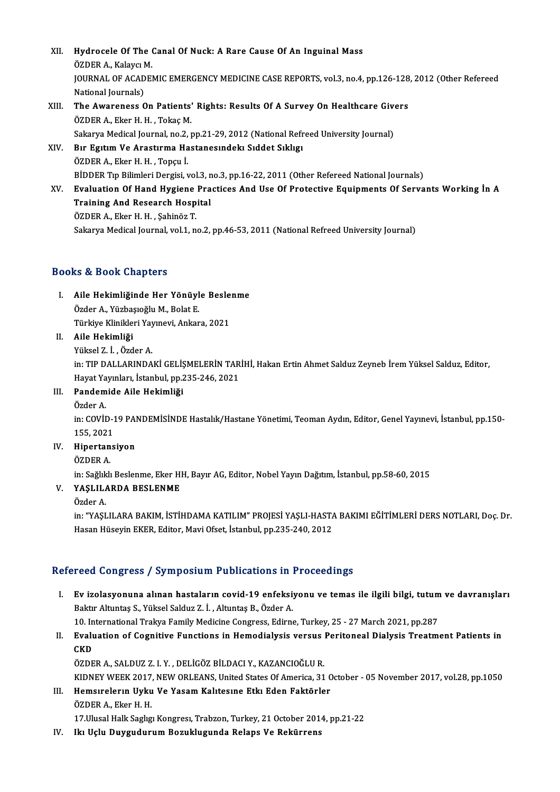XII. Hydrocele Of The Canal Of Nuck: A Rare Cause Of An Inguinal Mass<br>ÖZDEP A, Kolaya M **Hydrocele Of The (**<br>ÖZDER A., Kalaycı M.<br>JOUPNAL OF ACADE! JOURNAL OF ACADEMIC EMERGENCY MEDICINE CASE REPORTS, vol.3, no.4, pp.126-128, 2012 (Other Refereed<br>National Iournals) ÖZDER A., Kalaycı M. JOURNAL OF ACADEMIC EMERGENCY MEDICINE CASE REPORTS, vol.3, no.4, pp.126-128<br>National Journals)<br>XIII. The Awareness On Patients' Rights: Results Of A Survey On Healthcare Givers<br>ÖZDER A Flex H H Tokes M National Journals)<br>The Awareness On Patients'<br>ÖZDER A., Eker H. H. , Tokaç M.<br>Sakarya Medical Journal, no 2 , The Awareness On Patients' Rights: Results Of A Survey On Healthcare Give<br>ÖZDER A., Eker H. H. , Tokaç M.<br>Sakarya Medical Journal, no.2, pp.21-29, 2012 (National Refreed University Journal)<br>P.r. Egytyn V.e Arastyrna Hastan ÖZDER A., Eker H. H. , Tokaç M.<br>Sakarya Medical Journal, no.2, pp.21-29, 2012 (National Refr<br>XIV. Bır Egıtım Ve Arastırma Hastanesındeki Sıddet Sıklıgı<br>ÖZDER A., Eker H. H. , Topcu İ. Sakarya Medical Journal, no.2, pp.21-29, 2012 (National Refreed University Journal) Bır Egitim Ve Arastirma Hastanesindeki Siddet Sikligi<br>ÖZDER A., Eker H. H. , Topçu İ.<br>BİDDER Tıp Bilimleri Dergisi, vol.3, no.3, pp.16-22, 2011 (Other Refereed National Journals)<br>Fyaluation Of Hand Hygiona Practices And Ha ÖZDER A., Eker H. H. , Topçu İ.<br>BİDDER Tıp Bilimleri Dergisi, vol.3, no.3, pp.16-22, 2011 (Other Refereed National Journals)<br>XV. Evaluation Of Hand Hygiene Practices And Use Of Protective Equipments Of Servants Working BİDDER Tıp Bilimleri Dergisi, vol.3, n<br>Evaluation Of Hand Hygiene Pra<br>Training And Research Hospital<br>ÖZDEP A. Eker H. H., Sebinëz T Evaluation Of Hand Hygiene<br>Training And Research Hosp<br>ÖZDER A., Eker H. H. , Şahinöz T.<br>Sakarva Madisal Jaurnal vol 1 n

Training And Research Hospital<br>ÖZDER A., Eker H. H. , Şahinöz T.<br>Sakarya Medical Journal, vol.1, no.2, pp.46-53, 2011 (National Refreed University Journal)

### Books&Book Chapters

I. Aile Hekimliğinde Her Yönüyle Beslenme ÖzderA.,YüzbaşıoğluM.,BolatE. Aile Hekimliğinde Her Yönüyle Besle<br>Özder A., Yüzbaşıoğlu M., Bolat E.<br>Türkiye Klinikleri Yayınevi, Ankara, 2021<br>Aile Hekimliği Türkiye Klinikleri Yay<br>Aile Hekimliği<br>Yüksel Z. İ. , Özder A.<br>in: TIP DALLAPINDA

## II. Aile Hekimliği<br>Yüksel Z. İ. , Özder A.

Aile Hekimliği<br>Yüksel Z. İ. , Özder A.<br>in: TIP DALLARINDAKİ GELİŞMELERİN TARİHİ, Hakan Ertin Ahmet Salduz Zeyneb İrem Yüksel Salduz, Editor,<br>Havat Yavınları, İstanbul, pp.225, 246, 2021 Yüksel Z. İ. , Özder A.<br>in: TIP DALLARINDAKİ GELİŞMELERİN TAR<br>Hayat Yayınları, İstanbul, pp.235-246, 2021<br>Pandamida Aila Hakimliği in: TIP DALLARINDAKİ GELİŞ<br>Hayat Yayınları, İstanbul, pp.<br>III. Pandemide Aile Hekimliği<br>Örder A Hayat Ya<br>**Pandem**<br>Özder A.

Pandemide Aile Hekimliği<br>Özder A.<br>in: COVİD-19 PANDEMİSİNDE Hastalık/Hastane Yönetimi, Teoman Aydın, Editor, Genel Yayınevi, İstanbul, pp.150-<br>155, 2021 Özder A.<br>in: COVİD-1<br>155, 2021<br>Hinartana in: COVID-19 PAI<br>155, 2021<br>IV. Hipertansiyon<br>ÖZDEP A 155, 2021<br>Hipertan<br>ÖZDER A.

Hipertansiyon<br>ÖZDER A.<br>in: Sağlıklı Beslenme, Eker HH, Bayır AG, Editor, Nobel Yayın Dağıtım, İstanbul, pp.58-60, 2015<br>YASLILARDA RESLENME

## ÖZDER A.<br>in: Sağlıklı Beslenme, Eker H<br>V. **YAŞLILARDA BESLENME**<br>Özder A. in: Sağlık<br>**YAŞLIL***I*<br>Özder A.

in: "YAŞLILARA BAKIM, İSTİHDAMA KATILIM" PROJESİ YAŞLI-HASTA BAKIMI EĞİTİMLERİ DERS NOTLARI, Doç. Dr. Hasan Hüseyin EKER, Editor, Mavi Ofset, İstanbul, pp.235-240, 2012

### Refereed Congress / Symposium Publications in Proceedings

I. Ev izolasyonuna alınan hastaların covid-19 enfeksiyonu ve temas ile ilgili bilgi, tutumve davranışları Baktır Altuntaş S., Yüksel Salduz Z. İ., Altuntaş B., Özder A. Ev izolasyonuna alınan hastaların covid-19 enfeksiyonu ve temas ile ilgili bilgi, tutum<br>Baktır Altuntaş S., Yüksel Salduz Z. İ. , Altuntaş B., Özder A.<br>10. International Trakya Family Medicine Congress, Edirne, Turkey, 25

Baktır Altuntaş S., Yüksel Salduz Z. İ. , Altuntaş B., Özder A.<br>10. International Trakya Family Medicine Congress, Edirne, Turkey, 25 - 27 March 2021, pp.287<br>II. Evaluation of Cognitive Functions in Hemodialysis versus 10 In<br><mark>Evalu</mark><br>CKD<br>ÖZDE Evaluation of Cognitive Functions in Hemodialysis versus |<br>CKD<br>ÖZDER A., SALDUZ Z. I. Y. , DELİGÖZ BİLDACI Y., KAZANCIOĞLU R.<br>KIDNEV WEEK 2017. NEW ORLEANS United States Of America 21 CKD<br>ÖZDER A., SALDUZ Z. I. Y. , DELİGÖZ BİLDACI Y., KAZANCIOĞLU R.<br>KIDNEY WEEK 2017, NEW ORLEANS, United States Of America, 31 October - 05 November 2017, vol.28, pp.1050<br>Hamevreların Hylyi Ve Yasam Kalitasına Etki Edan Fa

ÖZDER A., SALDUZ Z. I. Y., DELİGÖZ BİLDACI Y., KAZANCIOĞLU R.<br>KIDNEY WEEK 2017, NEW ORLEANS, United States Of America, 31 C<br>III. Hemsirelerin Uyku Ve Yasam Kalitesine Etki Eden Faktörler<br>ÖZDER A. Ekor H. H KIDNEY WEEK 2017,<br>Hemsirelerin Uyku<br>ÖZDER A., Eker H. H.<br>17 Ulucal Hall: Saglig III. Hemsırelerin Uyku Ve Yasam Kalitesine Etki Eden Faktörler<br>ÖZDER A., Eker H. H.<br>17.Ulusal Halk Saglıgı Kongresi, Trabzon, Turkey, 21 October 2014, pp.21-22

IV. Ikı Uçlu DuygudurumBozuklugunda Relaps Ve Rekürrens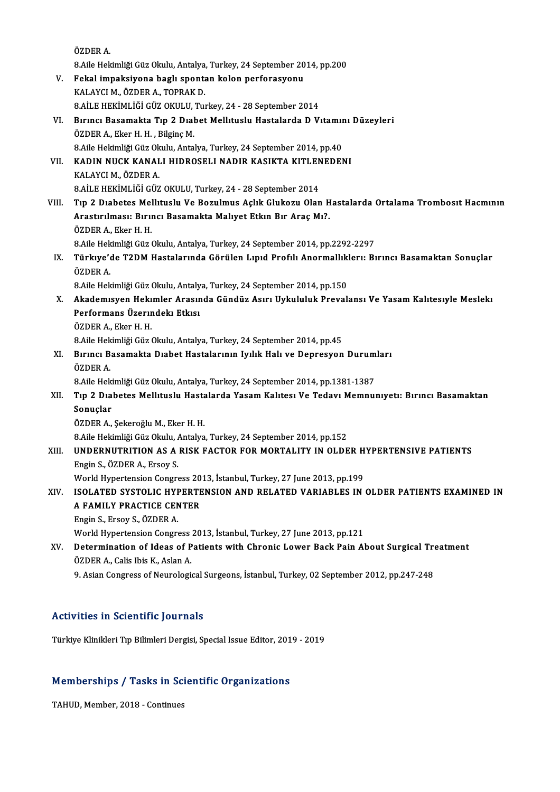ÖZDERA.

ÖZDER A.<br>8.Aile Hekimliği Güz Okulu, Antalya, Turkey, 24 September 2014, pp.200<br>Fekal impeksiyene baslı spentan kalen perferesyenu

- ÖZDER A.<br>8.Aile Hekimliği Güz Okulu, Antalya, Turkey, 24 September 20<br>V. Fekal impaksiyona baglı spontan kolon perforasyonu<br>KALAYCLM, ÖZDER A. TOPRAK D. 8.Aile Hekimliği Güz Okulu, Antalya<br>Fekal impaksiyona baglı sponta<br>KALAYCI M., ÖZDER A., TOPRAK D.<br>9 AİLE HEKİMI İĞİ CÜZ OKULU T... Fekal impaksiyona baglı spontan kolon perforasyonu<br>KALAYCI M., ÖZDER A., TOPRAK D.<br>8.AİLE HEKİMLİĞİ GÜZ OKULU, Turkey, 24 - 28 September 2014<br>Bırıncı Basamakta Tın 2 Dışbet Mellituslu Hastalarda D.V.
- KALAYCI M., ÖZDER A., TOPRAK D.<br>8.AİLE HEKİMLİĞİ GÜZ OKULU, Turkey, 24 28 September 2014<br>VI. Bırıncı Basamakta Tıp 2 Dıabet Mellituslu Hastalarda D Vıtamını Düzeyleri<br>ÖZDEP A. Ekor H. H. Bilgine M. 8.AİLE HEKİMLİĞİ GÜZ OKULU,<br>Bırıncı Basamakta Tıp 2 Dıal<br>ÖZDER A., Eker H. H. , Bilginç M.<br>8 Aile Hekimliği Güz Olulu, Antal Bırıncı Basamakta Tıp 2 Dıabet Mellıtuslu Hastalarda D Vıtamır<br>ÖZDER A., Eker H. H. , Bilginç M.<br>8.Aile Hekimliği Güz Okulu, Antalya, Turkey, 24 September 2014, pp.40<br>KADIN NUCK KANALI HIDROSELI NADIR KASIKTA KITI ENEDEN ÖZDER A., Eker H. H. , Bilginç M.<br>8.Aile Hekimliği Güz Okulu, Antalya, Turkey, 24 September 2014, pp.40<br>VII. KADIN NUCK KANALI HIDROSELI NADIR KASIKTA KITLENEDENI<br>KALAYCI M.. ÖZDER A. 8. Aile Hekimliği Güz Okulu, Antalya, Turkey, 24 September 2014, pp. 40
- 8.AİLE HEKİMLİĞİ GÜZ OKULU, Turkey, 24 28 September 2014
- VIII. Tıp 2 Diabetes Mellituslu Ve Bozulmus Açlık Glukozu Olan Hastalarda Ortalama Trombosit Hacmının 8.AİLE HEKİMLİĞİ GÜZ OKULU, Turkey, 24 - 28 September 2014<br>Tıp 2 Dıabetes Mellıtuslu Ve Bozulmus Açlık Glukozu Olan H<br>Arastırılması: Bırıncı Basamakta Malıyet Etkın Bır Araç Mı?.<br>ÖZDEP A. Ekar H. H Tıp 2 Dıabetes Mel<br>Arastırılması: Bırıı<br>ÖZDER A., Eker H. H.<br>8 Aile Helrimliği Güz ( Arastırılması: Bırıncı Basamakta Malıyet Etkın Bır Araç Mı?.<br>ÖZDER A., Eker H. H.<br>8.Aile Hekimliği Güz Okulu, Antalya, Turkey, 24 September 2014, pp.2292-2297<br>Türkum'da T2DM Hestelarında Görülen Lınıd Profili Anarmallıklar
	- ÖZDER A., Eker H. H.<br>8.Aile Hekimliği Güz Okulu, Antalya, Turkey, 24 September 2014, pp.2292-2297<br>IX. Türkıye'de T2DM Hastalarında Görülen Lıpıd Profilı Anormallıklerı: Bırıncı Basamaktan Sonuçlar<br>ÖZDER A. 8.Aile Hek<br><mark>Türkıye'</mark><br>ÖZDER A. Türkıye'de T2DM Hastalarında Görülen Lıpıd Profili Anormallık<br>ÖZDER A.<br>8.Aile Hekimliği Güz Okulu, Antalya, Turkey, 24 September 2014, pp.150<br>Akademieven Hekimler Anasında Gündüz Asını Uykululuk Preval

ÖZDER A.<br>8.Aile Hekimliği Güz Okulu, Antalya, Turkey, 24 September 2014, pp.150<br>X. Akademısyen Hekımler Arasında Gündüz Asırı Uykululuk Prevalansı Ve Yasam Kalıtesıyle Meslekı<br>Perfermana Üzerindeli Etlisi 8.Aile Hekimliği Güz Okulu, Antaly<br>Akademısyen Hekimler Arasır<br>Performans Üzerındeki Etkısı<br>ÖZDEP A. Ekar H. H Akademisyen Heki<br>Performans Üzerir<br>ÖZDER A., Eker H. H.<br>8 Aile Hekimliği Güz ( 9. **Performans Üzerındekı Etkısı**<br>ÖZDER A., Eker H. H.<br>8.Aile Hekimliği Güz Okulu, Antalya, Turkey, 24 September 2014, pp.45

ÖZDER A., Eker H. H.<br>8.Aile Hekimliği Güz Okulu, Antalya, Turkey, 24 September 2014, pp.45<br>XI. Bırıncı Basamakta Dıabet Hastalarının Iyılık Halı ve Depresyon Durumları<br>ÖZDER A 8.Aile Hek<br>Bırıncı B<br>ÖZDER A. Bırıncı Basamakta Dıabet Hastalarının Iyılık Halı ve Depresyon Durum<br>ÖZDER A.<br>8.Aile Hekimliği Güz Okulu, Antalya, Turkey, 24 September 2014, pp.1381-1387<br>Tın 2 Dışbatas Mallıtuslu Hastalarda Yasam Kalıtası Ve Tadayı Mampu

8. Aile Hekimliği Güz Okulu, Antalya, Turkey, 24 September 2014, pp. 1381-1387

# ÖZDER A.<br>8.Aile Hekimliği Güz Okulu, Antalya, Turkey, 24 September 2014, pp.1381-1387<br>XII. Tıp 2 Dıabetes Mellıtuslu Hastalarda Yasam Kalıtesı Ve Tedavı Memnunıyetı: Bırıncı Basamaktan<br>Sonuclar S<mark>onuçlar</mark><br>ÖZDER A., Şekeroğlu M., Eker H. H.<br>8.Aile Hekimliği Güz Okulu, Antalya, Turkey, 24 September 2014, pp.152<br>UNDERNUTRITION AS A RISK FACTOR FOR MORTALUTY IN OLDE

ÖZDER A., Şekeroğlu M., Eker H. H.

### XIII. UNDERNUTRITION AS A RISK FACTOR FOR MORTALITY IN OLDER HYPERTENSIVE PATIENTS<br>Engin S., ÖZDER A., Ersoy S. 8.Aile Hekimliği Güz Okulu, *İ*<br>UNDERNUTRITION AS A<br>Engin S., ÖZDER A., Ersoy S.<br>World Hynortonsion Congre UNDERNUTRITION AS A RISK FACTOR FOR MORTALITY IN OLDER H<br>Engin S., ÖZDER A., Ersoy S.<br>World Hypertension Congress 2013, İstanbul, Turkey, 27 June 2013, pp.199<br>ISOLATED SYSTOLIC UVPERTENSION AND RELATED VARIABLES IN

## XIV. ISOLATED SYSTOLIC HYPERTENSION AND RELATED VARIABLES IN OLDER PATIENTS EXAMINED IN<br>A FAMILY PRACTICE CENTER World Hypertension Congress 20<br>ISOLATED SYSTOLIC HYPERTE<br>A FAMILY PRACTICE CENTER<br>Engin S. Execu S. ÖZDER A A FAMILY PRACTICE CENTER<br>Engin S., Ersoy S., ÖZDER A.<br>World Hypertension Congress 2013, İstanbul, Turkey, 27 June 2013, pp.121<br>Petermination of Ideas of Batients with Chronis Lewer Bask Rain Al

EnginS.,Ersoy S.,ÖZDERA.

## Engin S., Ersoy S., ÖZDER A.<br>World Hypertension Congress 2013, İstanbul, Turkey, 27 June 2013, pp.121<br>XV. Determination of Ideas of Patients with Chronic Lower Back Pain About Surgical Treatment<br>ÖZDER A. Calis lhis K. World Hypertension Congress<br>Determination of Ideas of P<br>ÖZDER A., Calis Ibis K., Aslan A.<br>9. Asian Congress of Neurolegi Determination of Ideas of Patients with Chronic Lower Back Pain About Surgical Tro<br>ÖZDER A., Calis Ibis K., Aslan A.<br>9. Asian Congress of Neurological Surgeons, İstanbul, Turkey, 02 September 2012, pp.247-248

9. Asian Congress of Neurological Surgeons, İstanbul, Turkey, 02 September 2012, pp.247-248<br>Activities in Scientific Journals

Türkiye Klinikleri Tıp Bilimleri Dergisi, Special Issue Editor, 2019 - 2019

# Turkiye Kiinikieri Tip Bilimieri Dergisi, Special Issue Editor, 201<br>Memberships / Tasks in Scientific Organizations Me<mark>mberships / Tasks in Sc</mark>:<br>TAHUD, Member, 2018 - Continues